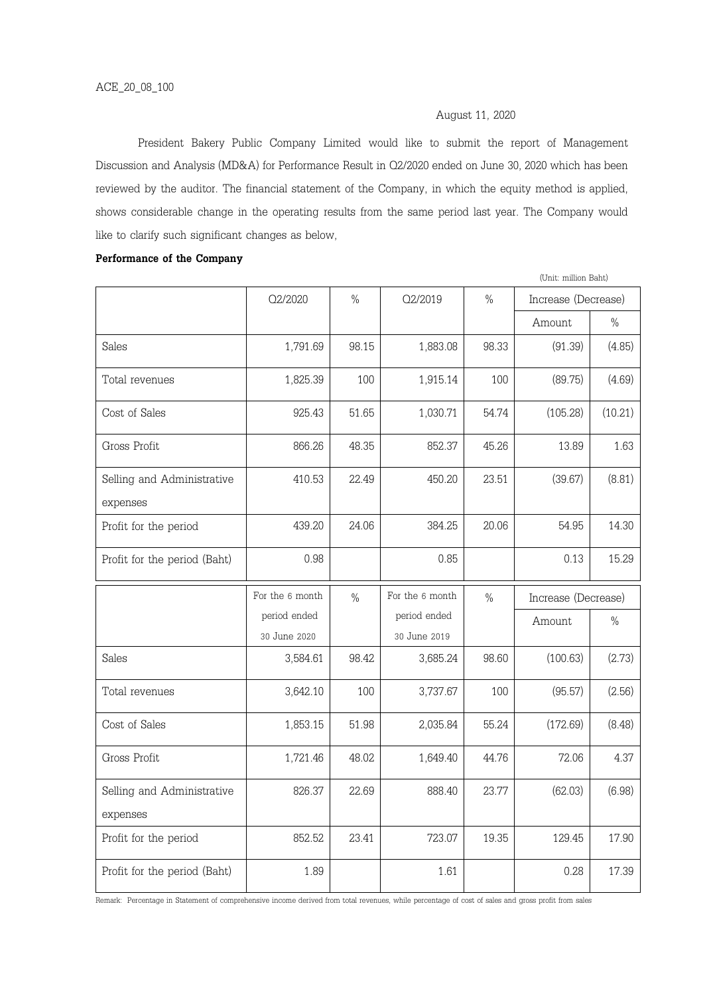# August 11, 2020

President Bakery Public Company Limited would like to submit the report of Management Discussion and Analysis (MD&A) for Performance Result in Q2/2020 ended on June 30, 2020 which has been reviewed by the auditor. The financial statement of the Company, in which the equity method is applied, shows considerable change in the operating results from the same period last year. The Company would like to clarify such significant changes as below,

#### Performance of the Company

|                                        |                 |       |                 |       | (Unit: million Baht) |         |  |
|----------------------------------------|-----------------|-------|-----------------|-------|----------------------|---------|--|
|                                        | Q2/2020         | $\%$  | Q2/2019         | $\%$  | Increase (Decrease)  |         |  |
|                                        |                 |       |                 |       | Amount               | $\%$    |  |
| Sales                                  | 1,791.69        | 98.15 | 1,883.08        | 98.33 | (91.39)              | (4.85)  |  |
| Total revenues                         | 1,825.39        | 100   | 1,915.14        | 100   | (89.75)              | (4.69)  |  |
| Cost of Sales                          | 925.43          | 51.65 | 1,030.71        | 54.74 | (105.28)             | (10.21) |  |
| Gross Profit                           | 866.26          | 48.35 | 852.37          | 45.26 | 13.89                | 1.63    |  |
| Selling and Administrative<br>expenses | 410.53          | 22.49 | 450.20          | 23.51 | (39.67)              | (8.81)  |  |
| Profit for the period                  | 439.20          | 24.06 | 384.25          | 20.06 | 54.95                | 14.30   |  |
| Profit for the period (Baht)           | 0.98            |       | 0.85            |       | 0.13                 | 15.29   |  |
|                                        |                 |       |                 |       |                      |         |  |
|                                        | For the 6 month | $\%$  | For the 6 month | $\%$  | Increase (Decrease)  |         |  |
|                                        | period ended    |       | period ended    |       | Amount               | $\%$    |  |
|                                        | 30 June 2020    |       | 30 June 2019    |       |                      |         |  |
| Sales                                  | 3,584.61        | 98.42 | 3,685.24        | 98.60 | (100.63)             | (2.73)  |  |
| Total revenues                         | 3,642.10        | 100   | 3,737.67        | 100   | (95.57)              | (2.56)  |  |
| Cost of Sales                          | 1,853.15        | 51.98 | 2,035.84        | 55.24 | (172.69)             | (8.48)  |  |
| Gross Profit                           | 1,721.46        | 48.02 | 1,649.40        | 44.76 | 72.06                | 4.37    |  |
| Selling and Administrative<br>expenses | 826.37          | 22.69 | 888.40          | 23.77 | (62.03)              | (6.98)  |  |
| Profit for the period                  | 852.52          | 23.41 | 723.07          | 19.35 | 129.45               | 17.90   |  |

Remark: Percentage in Statement of comprehensive income derived from total revenues, while percentage of cost of sales and gross profit from sales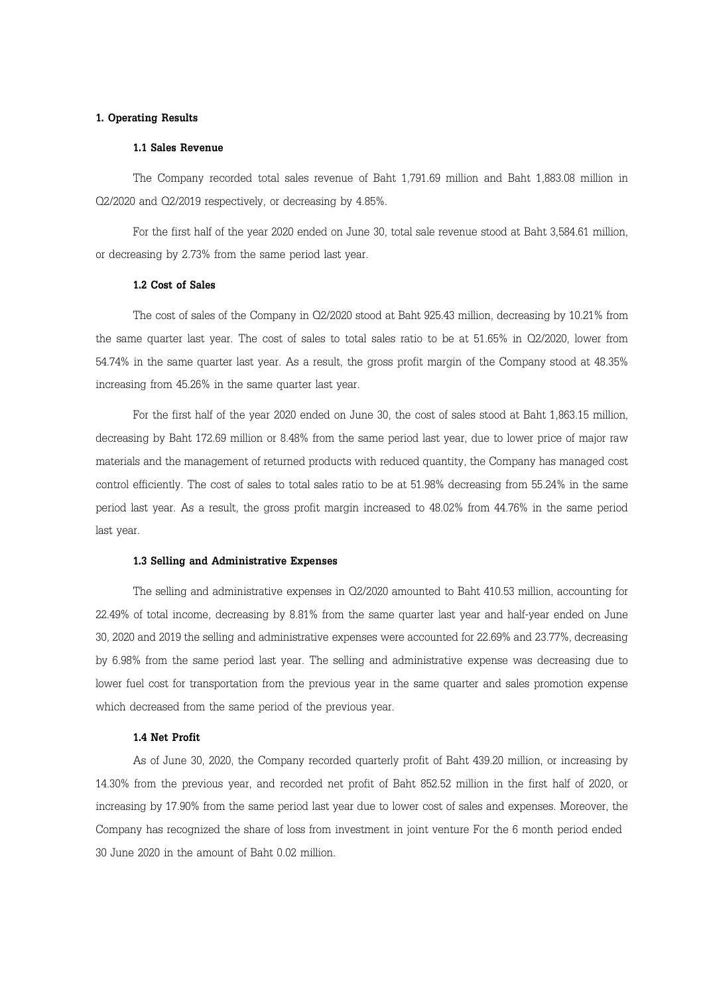## 1. Operating Results

# 1.1 Sales Revenue

The Company recorded total sales revenue of Baht 1,791.69 million and Baht 1,883.08 million in Q2/2020 and Q2/2019 respectively, or decreasing by 4.85%.

For the first half of the year 2020 ended on June 30, total sale revenue stood at Baht 3,584.61 million, or decreasing by 2.73% from the same period last year.

#### 1.2 Cost of Sales

The cost of sales of the Company in Q2/2020 stood at Baht 925.43 million, decreasing by 10.21% from the same quarter last year. The cost of sales to total sales ratio to be at 51.65% in Q2/2020, lower from 54.74% in the same quarter last year. As a result, the gross profit margin of the Company stood at 48.35% increasing from 45.26% in the same quarter last year.

For the first half of the year 2020 ended on June 30, the cost of sales stood at Baht 1,863.15 million, decreasing by Baht 172.69 million or 8.48% from the same period last year, due to lower price of major raw materials and the management of returned products with reduced quantity, the Company has managed cost control efficiently. The cost of sales to total sales ratio to be at 51.98% decreasing from 55.24% in the same period last year. As a result, the gross profit margin increased to 48.02% from 44.76% in the same period last year.

#### 1.3 Selling and Administrative Expenses

The selling and administrative expenses in Q2/2020 amounted to Baht 410.53 million, accounting for 22.49% of total income, decreasing by 8.81% from the same quarter last year and half-year ended on June 30, 2020 and 2019 the selling and administrative expenses were accounted for 22.69% and 23.77%, decreasing by 6.98% from the same period last year. The selling and administrative expense was decreasing due to lower fuel cost for transportation from the previous year in the same quarter and sales promotion expense which decreased from the same period of the previous year.

## 1.4 Net Profit

As of June 30, 2020, the Company recorded quarterly profit of Baht 439.20 million, or increasing by 14.30% from the previous year, and recorded net profit of Baht 852.52 million in the first half of 2020, or increasing by 17.90% from the same period last year due to lower cost of sales and expenses. Moreover, the Company has recognized the share of loss from investment in joint venture For the 6 month period ended 30 June 2020 in the amount of Baht 0.02 million.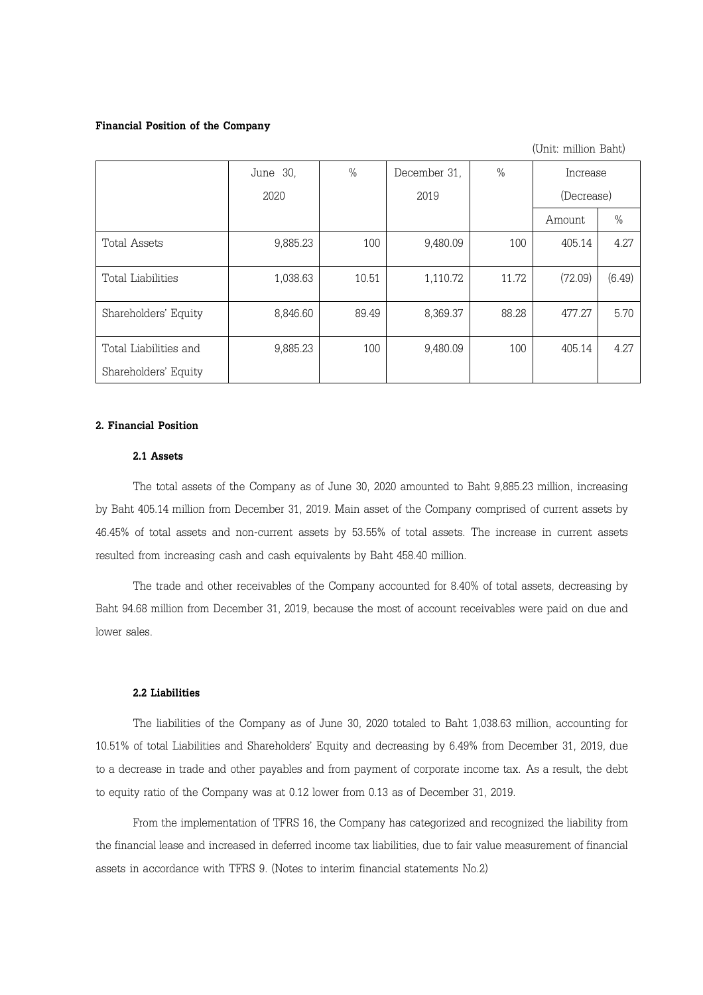#### Financial Position of the Company

|                       | June 30, | $\%$  | December 31, | $\%$  | Increase   |        |
|-----------------------|----------|-------|--------------|-------|------------|--------|
|                       | 2020     |       | 2019         |       | (Decrease) |        |
|                       |          |       |              |       | Amount     | $\%$   |
| Total Assets          | 9,885.23 | 100   | 9,480.09     | 100   | 405.14     | 4.27   |
| Total Liabilities     | 1,038.63 | 10.51 | 1,110.72     | 11.72 | (72.09)    | (6.49) |
| Shareholders' Equity  | 8,846.60 | 89.49 | 8,369.37     | 88.28 | 477.27     | 5.70   |
| Total Liabilities and | 9,885.23 | 100   | 9,480.09     | 100   | 405.14     | 4.27   |
| Shareholders' Equity  |          |       |              |       |            |        |

(Unit: million Baht)

# 2. Financial Position

# 2.1 Assets

The total assets of the Company as of June 30, 2020 amounted to Baht 9,885.23 million, increasing by Baht 405.14 million from December 31, 2019. Main asset of the Company comprised of current assets by 46.45% of total assets and non-current assets by 53.55% of total assets. The increase in current assets resulted from increasing cash and cash equivalents by Baht 458.40 million.

The trade and other receivables of the Company accounted for 8.40% of total assets, decreasing by Baht 94.68 million from December 31, 2019, because the most of account receivables were paid on due and lower sales.

#### 2.2 Liabilities

The liabilities of the Company as of June 30, 2020 totaled to Baht 1,038.63 million, accounting for 10.51% of total Liabilities and Shareholders' Equity and decreasing by 6.49% from December 31, 2019, due to a decrease in trade and other payables and from payment of corporate income tax. As a result, the debt to equity ratio of the Company was at 0.12 lower from 0.13 as of December 31, 2019.

From the implementation of TFRS 16, the Company has categorized and recognized the liability from the financial lease and increased in deferred income tax liabilities, due to fair value measurement of financial assets in accordance with TFRS 9. (Notes to interim financial statements No.2)